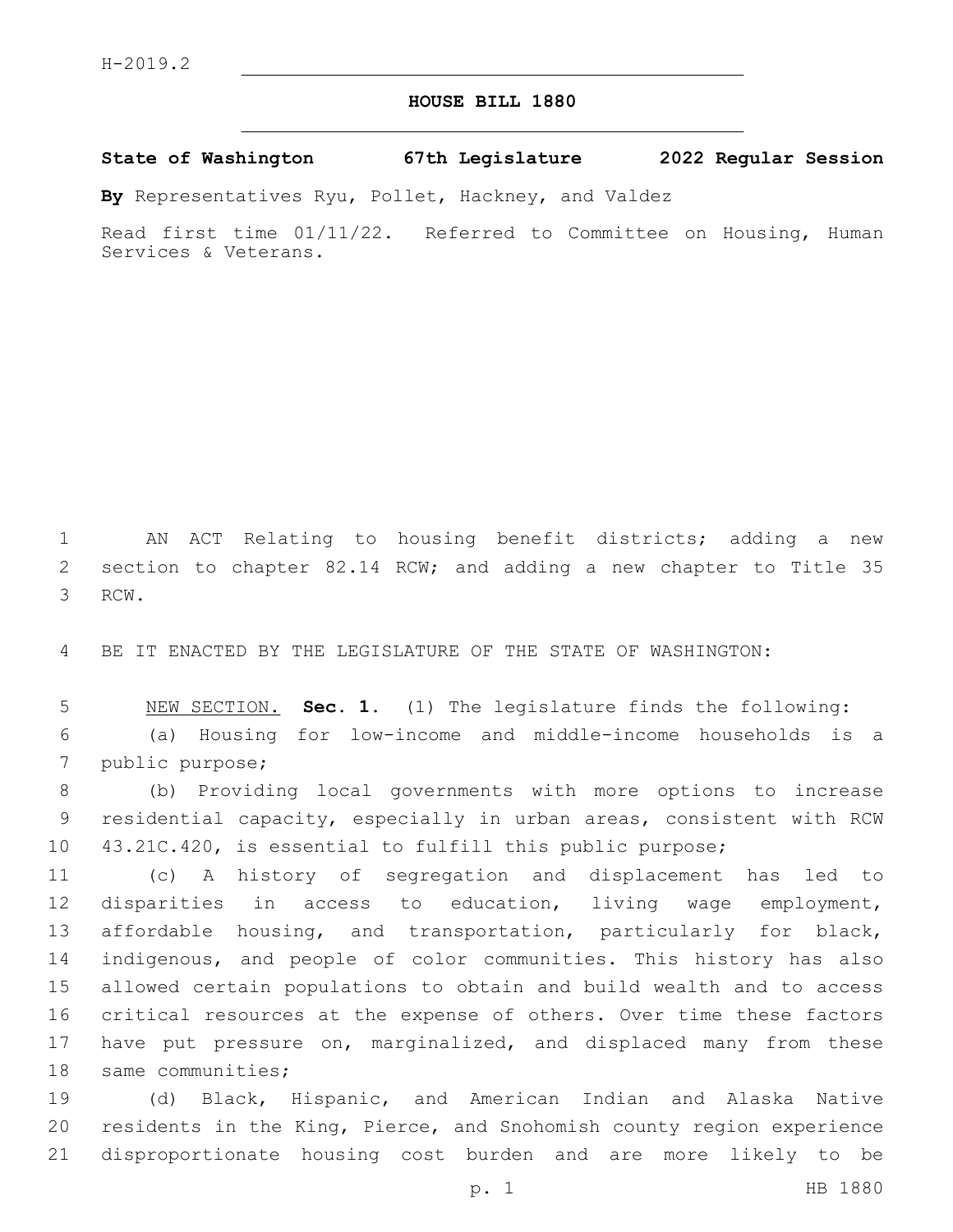## **HOUSE BILL 1880**

**State of Washington 67th Legislature 2022 Regular Session**

**By** Representatives Ryu, Pollet, Hackney, and Valdez

Read first time 01/11/22. Referred to Committee on Housing, Human Services & Veterans.

 AN ACT Relating to housing benefit districts; adding a new section to chapter 82.14 RCW; and adding a new chapter to Title 35 3 RCW.

BE IT ENACTED BY THE LEGISLATURE OF THE STATE OF WASHINGTON:

 NEW SECTION. **Sec. 1.** (1) The legislature finds the following: (a) Housing for low-income and middle-income households is a 7 public purpose;

 (b) Providing local governments with more options to increase residential capacity, especially in urban areas, consistent with RCW 43.21C.420, is essential to fulfill this public purpose;

 (c) A history of segregation and displacement has led to disparities in access to education, living wage employment, affordable housing, and transportation, particularly for black, indigenous, and people of color communities. This history has also allowed certain populations to obtain and build wealth and to access critical resources at the expense of others. Over time these factors 17 have put pressure on, marginalized, and displaced many from these 18 same communities;

 (d) Black, Hispanic, and American Indian and Alaska Native residents in the King, Pierce, and Snohomish county region experience disproportionate housing cost burden and are more likely to be

p. 1 HB 1880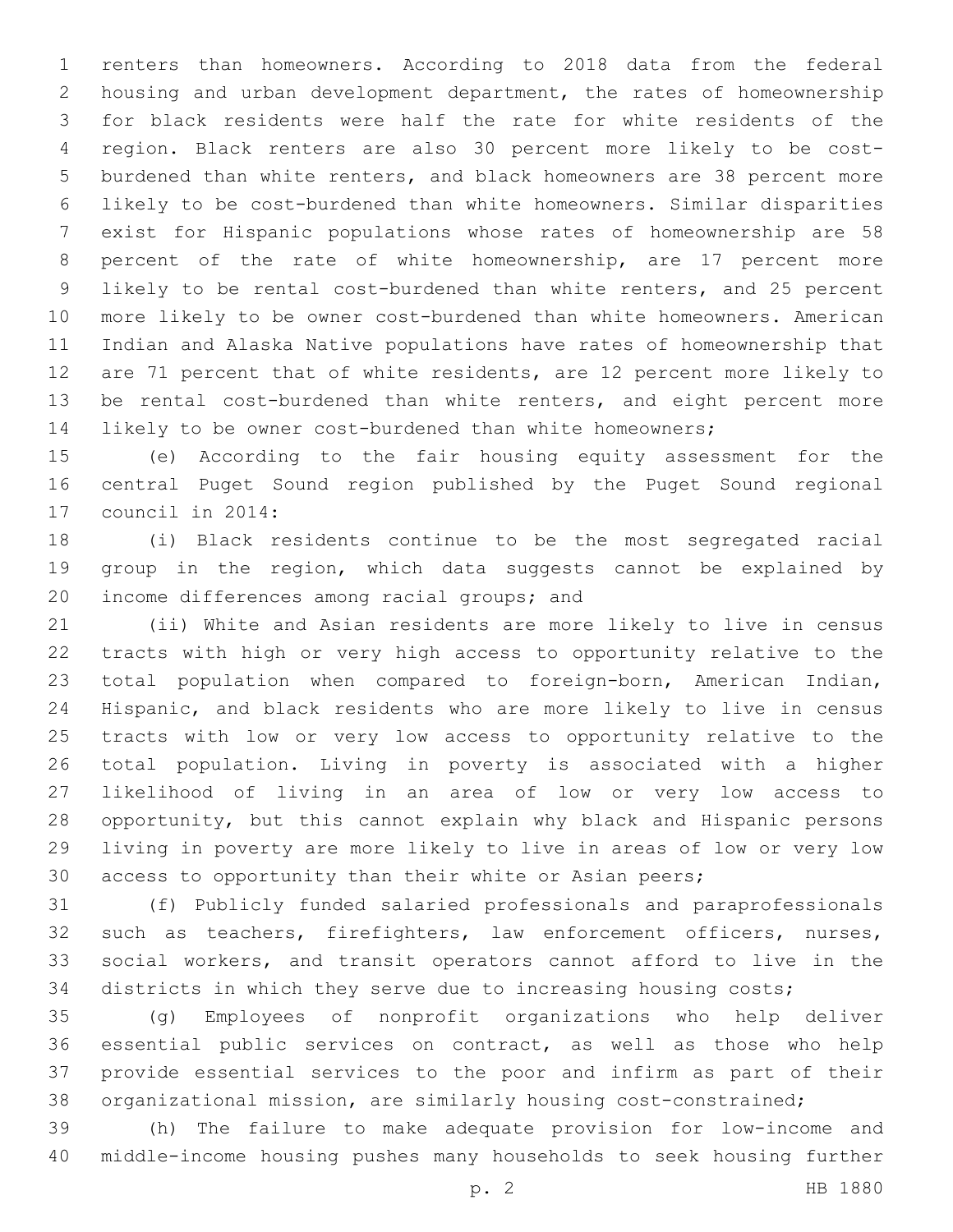renters than homeowners. According to 2018 data from the federal housing and urban development department, the rates of homeownership for black residents were half the rate for white residents of the region. Black renters are also 30 percent more likely to be cost- burdened than white renters, and black homeowners are 38 percent more likely to be cost-burdened than white homeowners. Similar disparities exist for Hispanic populations whose rates of homeownership are 58 percent of the rate of white homeownership, are 17 percent more likely to be rental cost-burdened than white renters, and 25 percent more likely to be owner cost-burdened than white homeowners. American Indian and Alaska Native populations have rates of homeownership that are 71 percent that of white residents, are 12 percent more likely to be rental cost-burdened than white renters, and eight percent more likely to be owner cost-burdened than white homeowners;

 (e) According to the fair housing equity assessment for the central Puget Sound region published by the Puget Sound regional 17 council in 2014:

 (i) Black residents continue to be the most segregated racial group in the region, which data suggests cannot be explained by 20 income differences among racial groups; and

 (ii) White and Asian residents are more likely to live in census tracts with high or very high access to opportunity relative to the total population when compared to foreign-born, American Indian, Hispanic, and black residents who are more likely to live in census tracts with low or very low access to opportunity relative to the total population. Living in poverty is associated with a higher likelihood of living in an area of low or very low access to opportunity, but this cannot explain why black and Hispanic persons living in poverty are more likely to live in areas of low or very low access to opportunity than their white or Asian peers;

 (f) Publicly funded salaried professionals and paraprofessionals such as teachers, firefighters, law enforcement officers, nurses, social workers, and transit operators cannot afford to live in the districts in which they serve due to increasing housing costs;

 (g) Employees of nonprofit organizations who help deliver essential public services on contract, as well as those who help provide essential services to the poor and infirm as part of their organizational mission, are similarly housing cost-constrained;

 (h) The failure to make adequate provision for low-income and middle-income housing pushes many households to seek housing further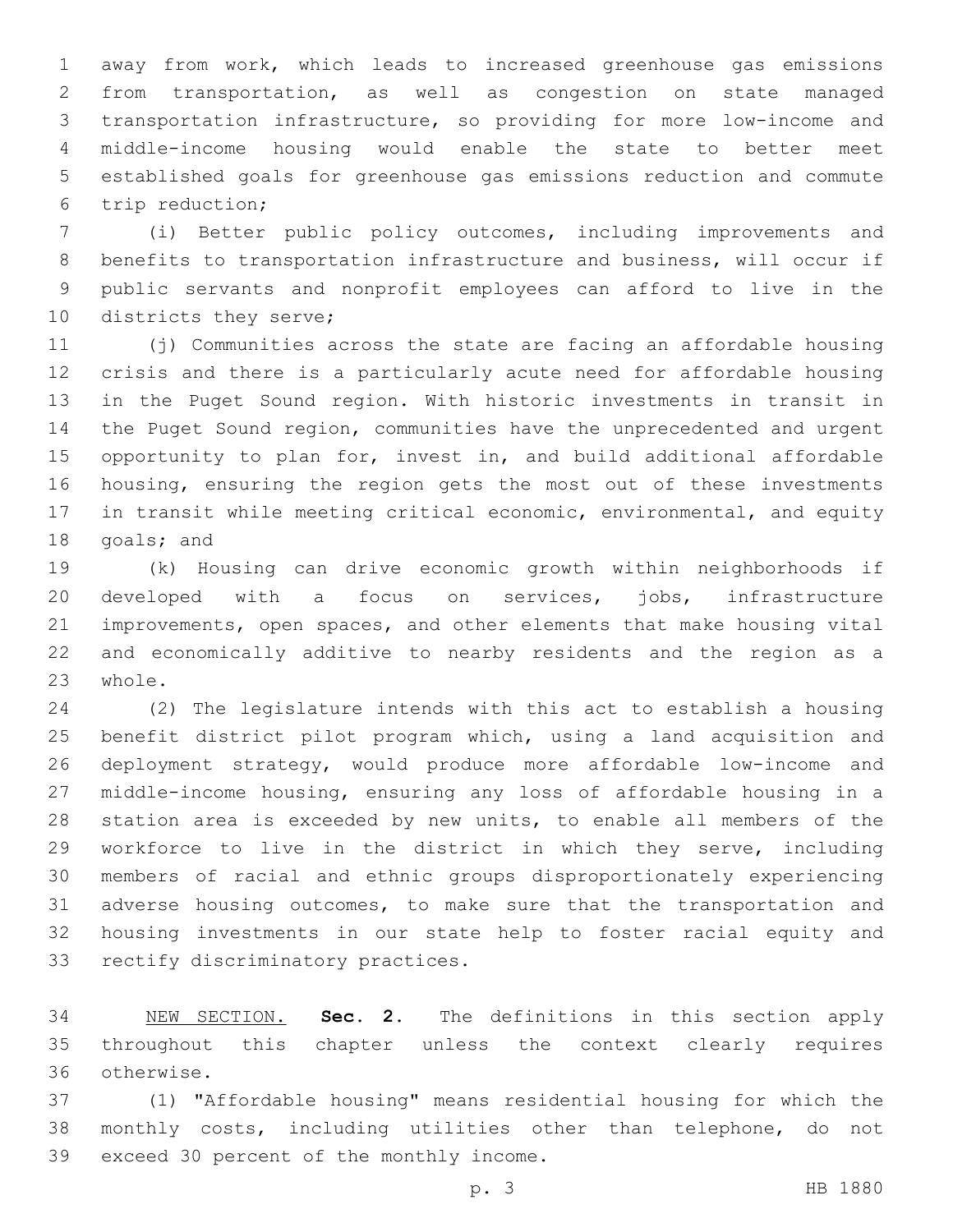away from work, which leads to increased greenhouse gas emissions from transportation, as well as congestion on state managed transportation infrastructure, so providing for more low-income and middle-income housing would enable the state to better meet established goals for greenhouse gas emissions reduction and commute trip reduction;6

 (i) Better public policy outcomes, including improvements and benefits to transportation infrastructure and business, will occur if public servants and nonprofit employees can afford to live in the 10 districts they serve;

 (j) Communities across the state are facing an affordable housing crisis and there is a particularly acute need for affordable housing in the Puget Sound region. With historic investments in transit in the Puget Sound region, communities have the unprecedented and urgent opportunity to plan for, invest in, and build additional affordable housing, ensuring the region gets the most out of these investments in transit while meeting critical economic, environmental, and equity 18 goals; and

 (k) Housing can drive economic growth within neighborhoods if developed with a focus on services, jobs, infrastructure improvements, open spaces, and other elements that make housing vital and economically additive to nearby residents and the region as a 23 whole.

 (2) The legislature intends with this act to establish a housing benefit district pilot program which, using a land acquisition and deployment strategy, would produce more affordable low-income and middle-income housing, ensuring any loss of affordable housing in a station area is exceeded by new units, to enable all members of the workforce to live in the district in which they serve, including members of racial and ethnic groups disproportionately experiencing adverse housing outcomes, to make sure that the transportation and housing investments in our state help to foster racial equity and 33 rectify discriminatory practices.

 NEW SECTION. **Sec. 2.** The definitions in this section apply throughout this chapter unless the context clearly requires otherwise.

 (1) "Affordable housing" means residential housing for which the monthly costs, including utilities other than telephone, do not 39 exceed 30 percent of the monthly income.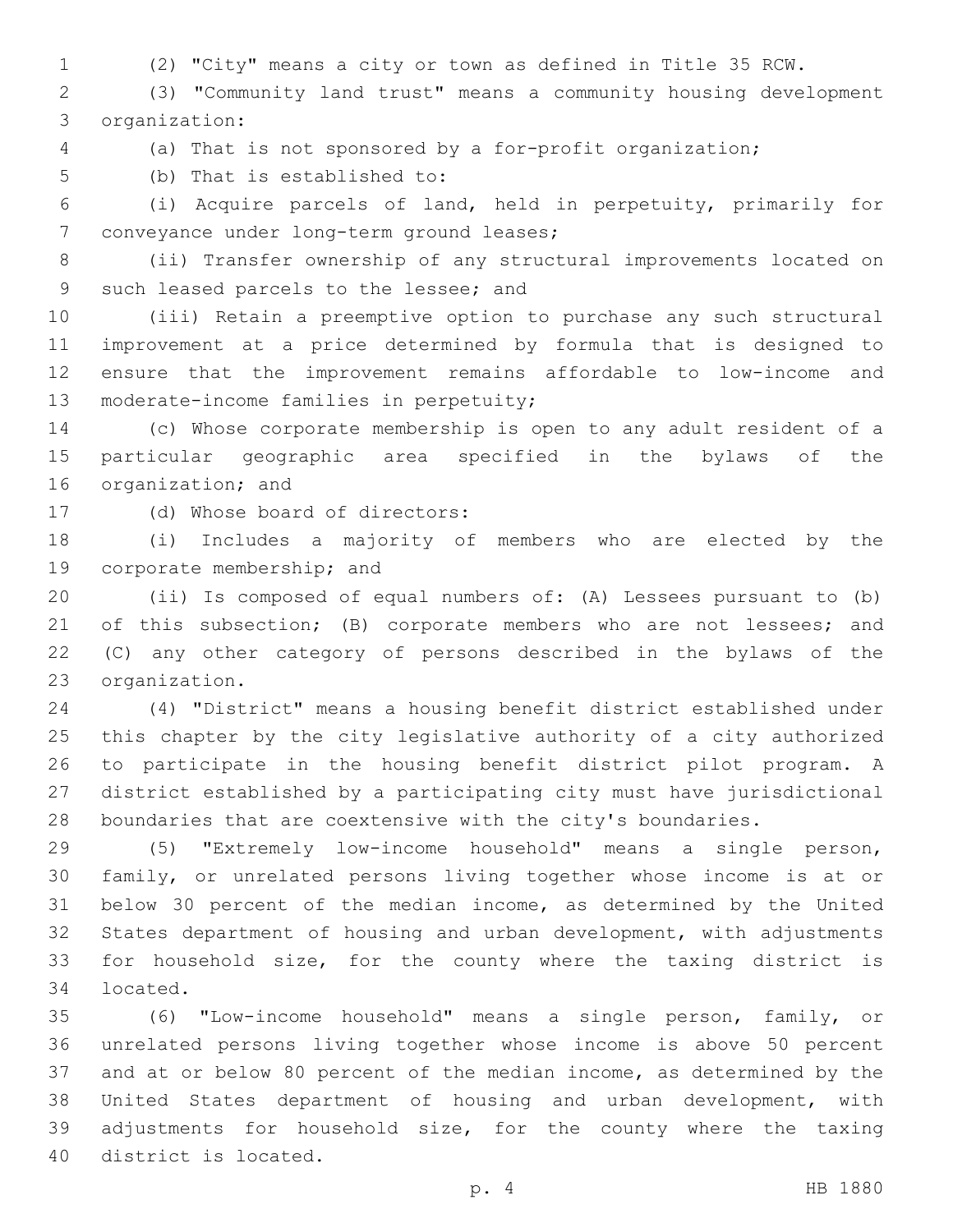(2) "City" means a city or town as defined in Title 35 RCW.

 (3) "Community land trust" means a community housing development organization:3

(a) That is not sponsored by a for-profit organization;

5 (b) That is established to:

 (i) Acquire parcels of land, held in perpetuity, primarily for 7 conveyance under long-term ground leases;

 (ii) Transfer ownership of any structural improvements located on 9 such leased parcels to the lessee; and

 (iii) Retain a preemptive option to purchase any such structural improvement at a price determined by formula that is designed to ensure that the improvement remains affordable to low-income and 13 moderate-income families in perpetuity;

 (c) Whose corporate membership is open to any adult resident of a particular geographic area specified in the bylaws of the 16 organization; and

17 (d) Whose board of directors:

 (i) Includes a majority of members who are elected by the 19 corporate membership; and

 (ii) Is composed of equal numbers of: (A) Lessees pursuant to (b) 21 of this subsection; (B) corporate members who are not lessees; and (C) any other category of persons described in the bylaws of the 23 organization.

 (4) "District" means a housing benefit district established under this chapter by the city legislative authority of a city authorized to participate in the housing benefit district pilot program. A district established by a participating city must have jurisdictional boundaries that are coextensive with the city's boundaries.

 (5) "Extremely low-income household" means a single person, family, or unrelated persons living together whose income is at or below 30 percent of the median income, as determined by the United States department of housing and urban development, with adjustments for household size, for the county where the taxing district is 34 located.

 (6) "Low-income household" means a single person, family, or unrelated persons living together whose income is above 50 percent and at or below 80 percent of the median income, as determined by the United States department of housing and urban development, with adjustments for household size, for the county where the taxing 40 district is located.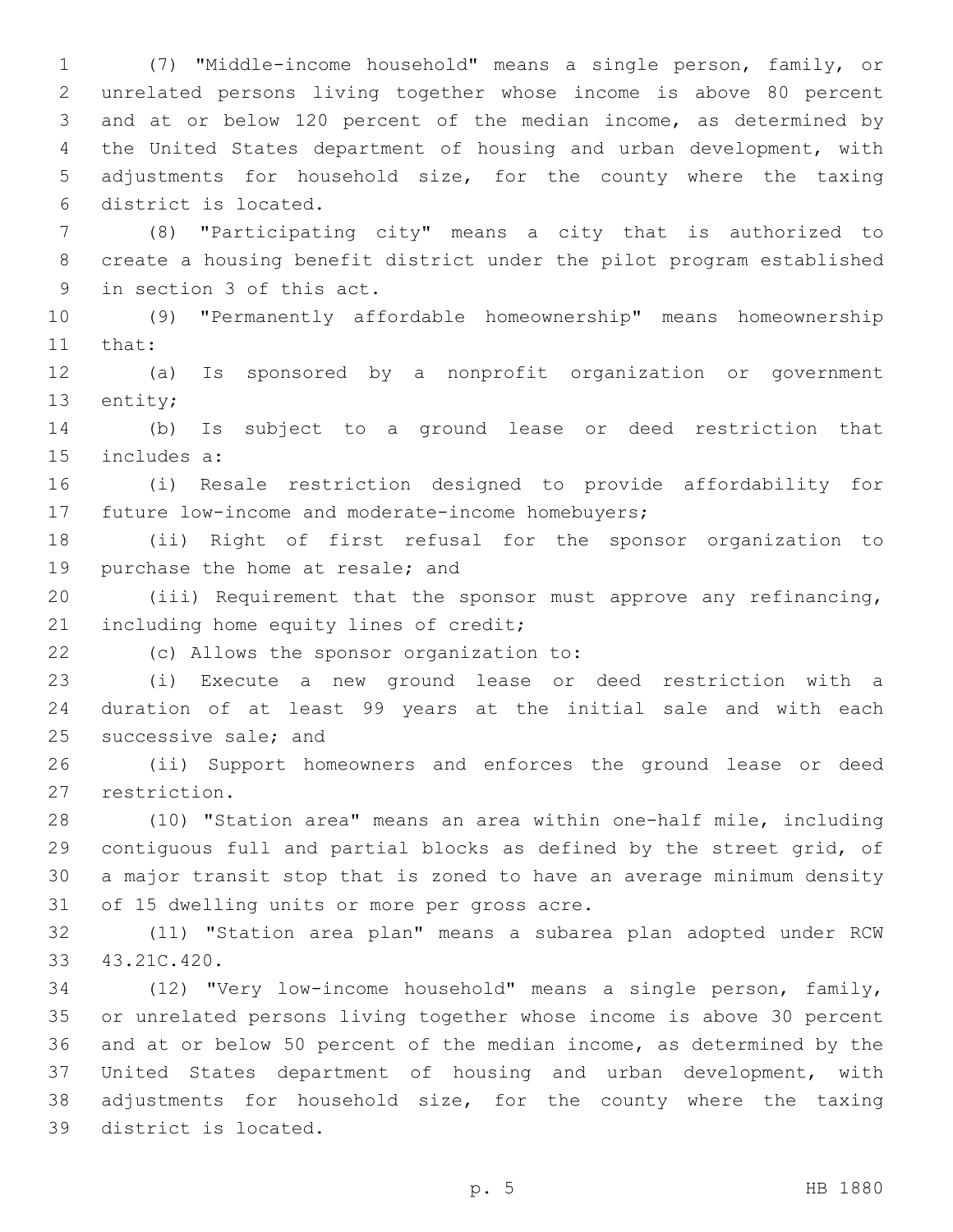(7) "Middle-income household" means a single person, family, or unrelated persons living together whose income is above 80 percent and at or below 120 percent of the median income, as determined by the United States department of housing and urban development, with adjustments for household size, for the county where the taxing district is located.6

 (8) "Participating city" means a city that is authorized to create a housing benefit district under the pilot program established 9 in section 3 of this act.

 (9) "Permanently affordable homeownership" means homeownership 11 that:

 (a) Is sponsored by a nonprofit organization or government 13 entity;

 (b) Is subject to a ground lease or deed restriction that 15 includes a:

 (i) Resale restriction designed to provide affordability for 17 future low-income and moderate-income homebuyers;

 (ii) Right of first refusal for the sponsor organization to 19 purchase the home at resale; and

 (iii) Requirement that the sponsor must approve any refinancing, 21 including home equity lines of credit;

(c) Allows the sponsor organization to:22

 (i) Execute a new ground lease or deed restriction with a duration of at least 99 years at the initial sale and with each 25 successive sale; and

 (ii) Support homeowners and enforces the ground lease or deed 27 restriction.

 (10) "Station area" means an area within one-half mile, including contiguous full and partial blocks as defined by the street grid, of a major transit stop that is zoned to have an average minimum density 31 of 15 dwelling units or more per gross acre.

 (11) "Station area plan" means a subarea plan adopted under RCW 43.21C.420.33

 (12) "Very low-income household" means a single person, family, or unrelated persons living together whose income is above 30 percent and at or below 50 percent of the median income, as determined by the United States department of housing and urban development, with adjustments for household size, for the county where the taxing 39 district is located.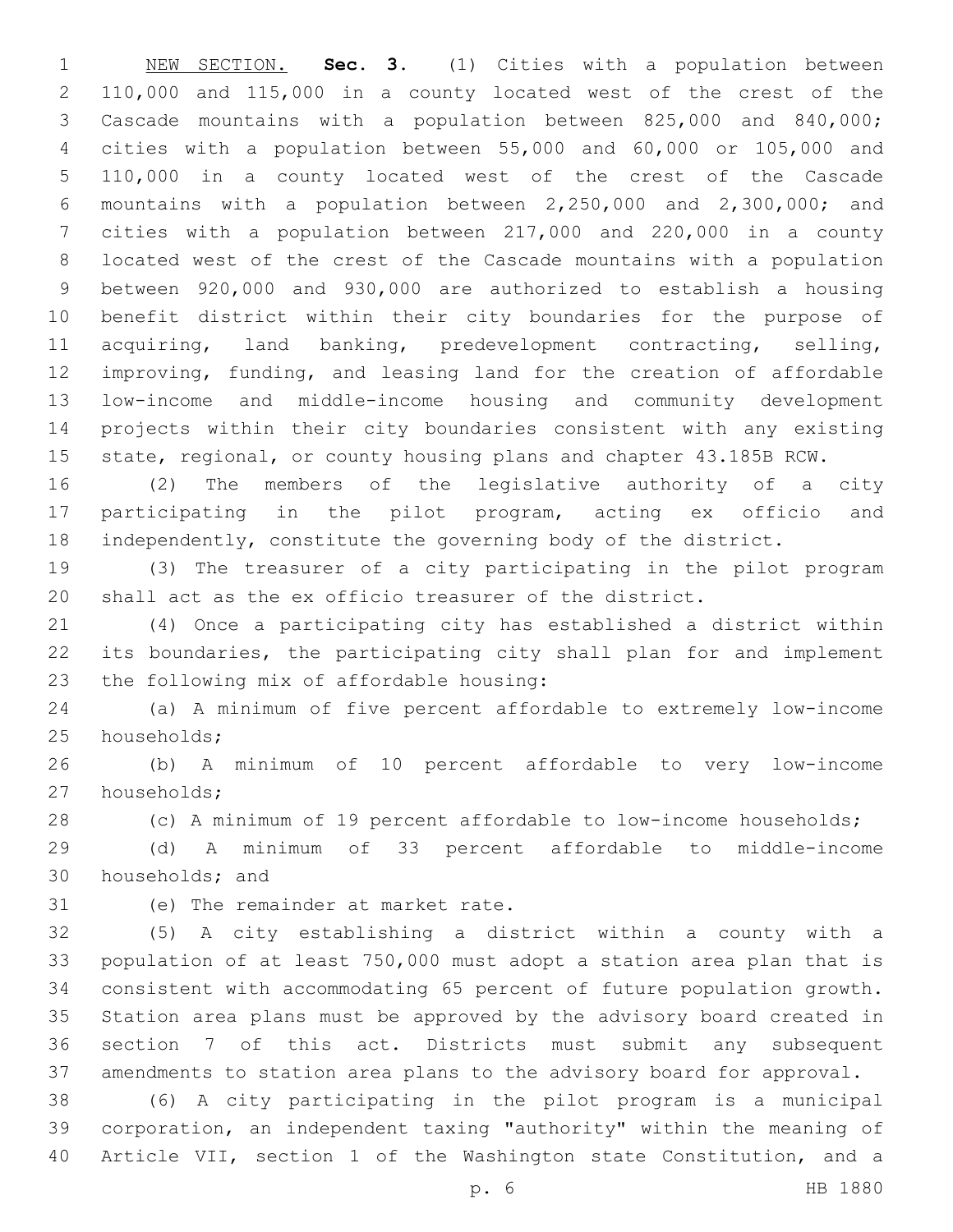NEW SECTION. **Sec. 3.** (1) Cities with a population between 110,000 and 115,000 in a county located west of the crest of the Cascade mountains with a population between 825,000 and 840,000; cities with a population between 55,000 and 60,000 or 105,000 and 110,000 in a county located west of the crest of the Cascade mountains with a population between 2,250,000 and 2,300,000; and cities with a population between 217,000 and 220,000 in a county located west of the crest of the Cascade mountains with a population between 920,000 and 930,000 are authorized to establish a housing benefit district within their city boundaries for the purpose of acquiring, land banking, predevelopment contracting, selling, improving, funding, and leasing land for the creation of affordable low-income and middle-income housing and community development projects within their city boundaries consistent with any existing 15 state, regional, or county housing plans and chapter 43.185B RCW.

 (2) The members of the legislative authority of a city participating in the pilot program, acting ex officio and independently, constitute the governing body of the district.

 (3) The treasurer of a city participating in the pilot program shall act as the ex officio treasurer of the district.

 (4) Once a participating city has established a district within its boundaries, the participating city shall plan for and implement 23 the following mix of affordable housing:

 (a) A minimum of five percent affordable to extremely low-income 25 households;

 (b) A minimum of 10 percent affordable to very low-income 27 households;

(c) A minimum of 19 percent affordable to low-income households;

 (d) A minimum of 33 percent affordable to middle-income 30 households; and

31 (e) The remainder at market rate.

 (5) A city establishing a district within a county with a population of at least 750,000 must adopt a station area plan that is consistent with accommodating 65 percent of future population growth. Station area plans must be approved by the advisory board created in section 7 of this act. Districts must submit any subsequent amendments to station area plans to the advisory board for approval.

 (6) A city participating in the pilot program is a municipal corporation, an independent taxing "authority" within the meaning of Article VII, section 1 of the Washington state Constitution, and a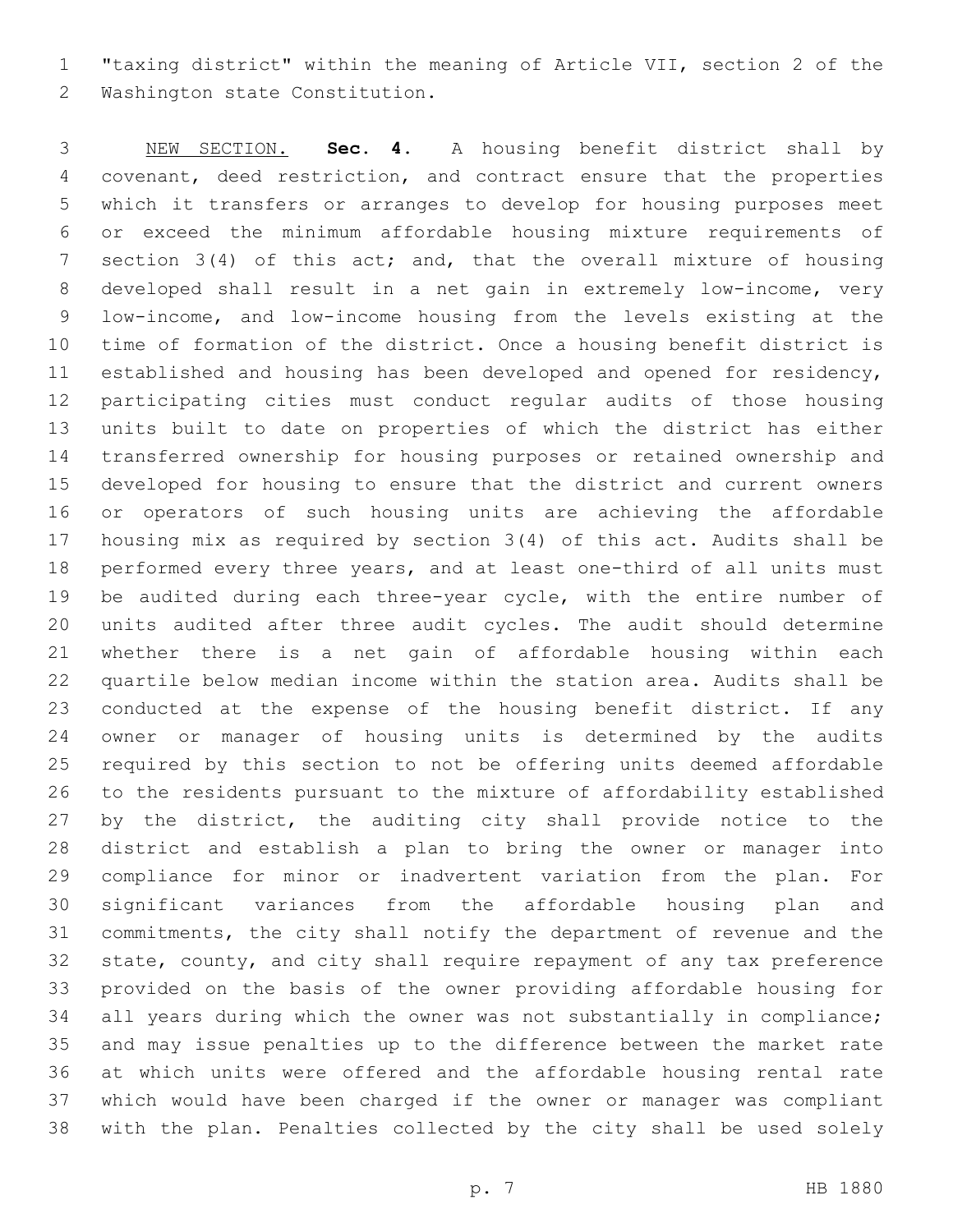"taxing district" within the meaning of Article VII, section 2 of the 2 Washington state Constitution.

 NEW SECTION. **Sec. 4.** A housing benefit district shall by covenant, deed restriction, and contract ensure that the properties which it transfers or arranges to develop for housing purposes meet or exceed the minimum affordable housing mixture requirements of 7 section 3(4) of this act; and, that the overall mixture of housing developed shall result in a net gain in extremely low-income, very low-income, and low-income housing from the levels existing at the time of formation of the district. Once a housing benefit district is established and housing has been developed and opened for residency, participating cities must conduct regular audits of those housing units built to date on properties of which the district has either transferred ownership for housing purposes or retained ownership and developed for housing to ensure that the district and current owners or operators of such housing units are achieving the affordable housing mix as required by section 3(4) of this act. Audits shall be performed every three years, and at least one-third of all units must be audited during each three-year cycle, with the entire number of units audited after three audit cycles. The audit should determine whether there is a net gain of affordable housing within each quartile below median income within the station area. Audits shall be conducted at the expense of the housing benefit district. If any owner or manager of housing units is determined by the audits required by this section to not be offering units deemed affordable to the residents pursuant to the mixture of affordability established 27 by the district, the auditing city shall provide notice to the district and establish a plan to bring the owner or manager into compliance for minor or inadvertent variation from the plan. For significant variances from the affordable housing plan and commitments, the city shall notify the department of revenue and the state, county, and city shall require repayment of any tax preference provided on the basis of the owner providing affordable housing for all years during which the owner was not substantially in compliance; and may issue penalties up to the difference between the market rate at which units were offered and the affordable housing rental rate which would have been charged if the owner or manager was compliant with the plan. Penalties collected by the city shall be used solely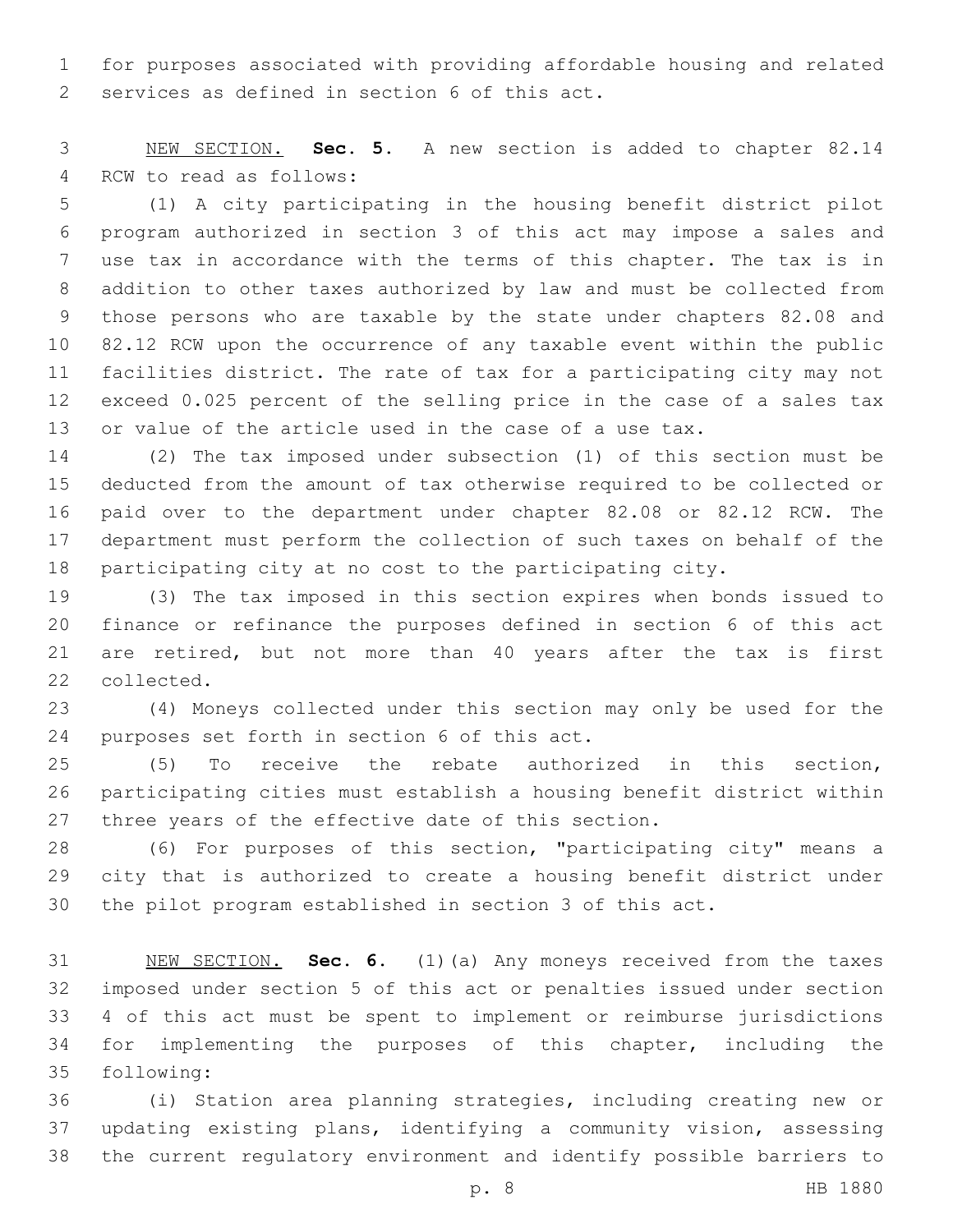for purposes associated with providing affordable housing and related 2 services as defined in section 6 of this act.

 NEW SECTION. **Sec. 5.** A new section is added to chapter 82.14 4 RCW to read as follows:

 (1) A city participating in the housing benefit district pilot program authorized in section 3 of this act may impose a sales and use tax in accordance with the terms of this chapter. The tax is in addition to other taxes authorized by law and must be collected from those persons who are taxable by the state under chapters 82.08 and 82.12 RCW upon the occurrence of any taxable event within the public facilities district. The rate of tax for a participating city may not exceed 0.025 percent of the selling price in the case of a sales tax or value of the article used in the case of a use tax.

 (2) The tax imposed under subsection (1) of this section must be deducted from the amount of tax otherwise required to be collected or paid over to the department under chapter 82.08 or 82.12 RCW. The department must perform the collection of such taxes on behalf of the participating city at no cost to the participating city.

 (3) The tax imposed in this section expires when bonds issued to finance or refinance the purposes defined in section 6 of this act are retired, but not more than 40 years after the tax is first 22 collected.

 (4) Moneys collected under this section may only be used for the 24 purposes set forth in section 6 of this act.

 (5) To receive the rebate authorized in this section, participating cities must establish a housing benefit district within three years of the effective date of this section.

 (6) For purposes of this section, "participating city" means a city that is authorized to create a housing benefit district under the pilot program established in section 3 of this act.

 NEW SECTION. **Sec. 6.** (1)(a) Any moneys received from the taxes imposed under section 5 of this act or penalties issued under section 4 of this act must be spent to implement or reimburse jurisdictions for implementing the purposes of this chapter, including the following:

 (i) Station area planning strategies, including creating new or updating existing plans, identifying a community vision, assessing the current regulatory environment and identify possible barriers to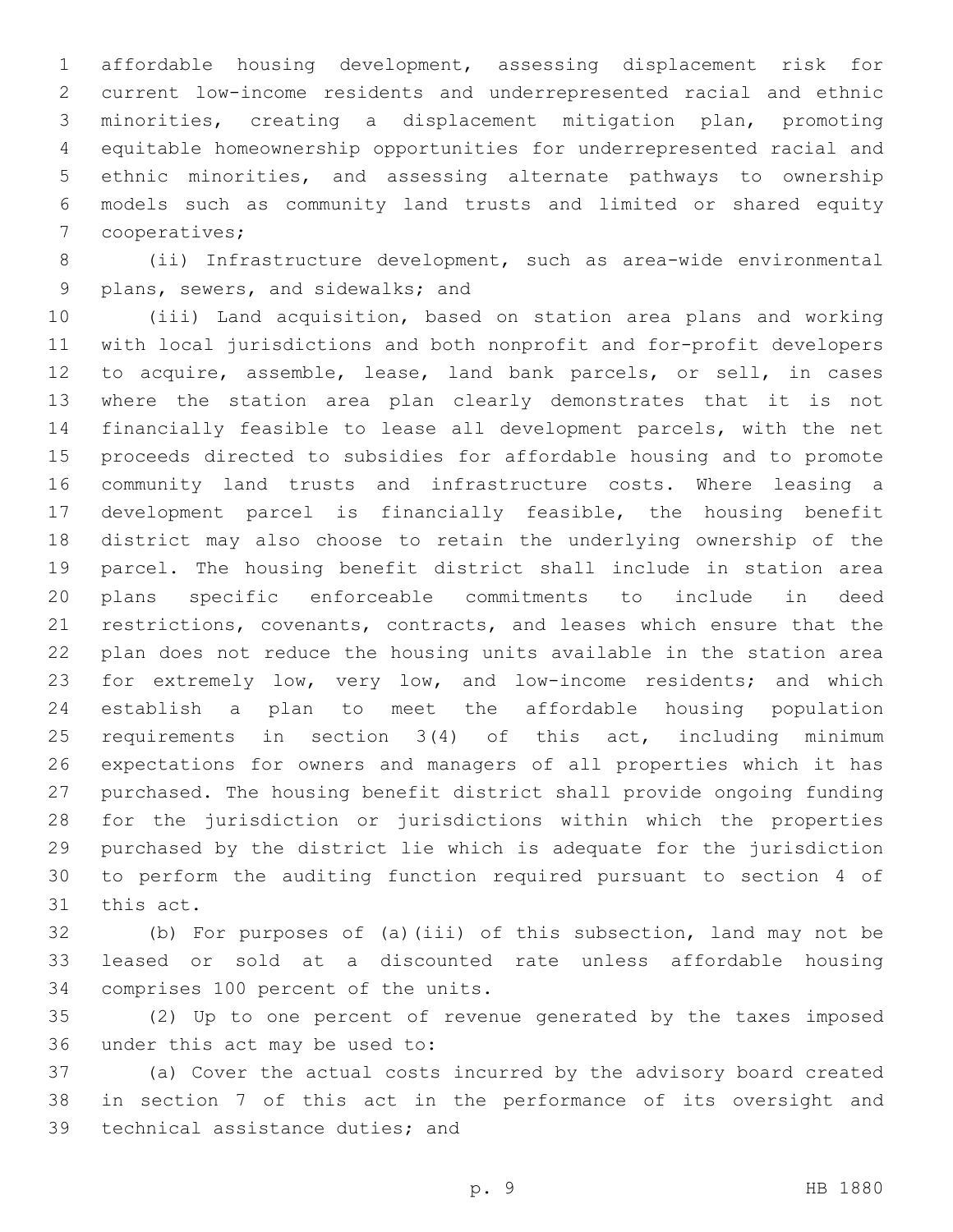affordable housing development, assessing displacement risk for current low-income residents and underrepresented racial and ethnic minorities, creating a displacement mitigation plan, promoting equitable homeownership opportunities for underrepresented racial and ethnic minorities, and assessing alternate pathways to ownership models such as community land trusts and limited or shared equity 7 cooperatives;

 (ii) Infrastructure development, such as area-wide environmental 9 plans, sewers, and sidewalks; and

 (iii) Land acquisition, based on station area plans and working with local jurisdictions and both nonprofit and for-profit developers to acquire, assemble, lease, land bank parcels, or sell, in cases where the station area plan clearly demonstrates that it is not financially feasible to lease all development parcels, with the net proceeds directed to subsidies for affordable housing and to promote community land trusts and infrastructure costs. Where leasing a development parcel is financially feasible, the housing benefit district may also choose to retain the underlying ownership of the parcel. The housing benefit district shall include in station area plans specific enforceable commitments to include in deed restrictions, covenants, contracts, and leases which ensure that the plan does not reduce the housing units available in the station area for extremely low, very low, and low-income residents; and which establish a plan to meet the affordable housing population requirements in section 3(4) of this act, including minimum expectations for owners and managers of all properties which it has purchased. The housing benefit district shall provide ongoing funding for the jurisdiction or jurisdictions within which the properties purchased by the district lie which is adequate for the jurisdiction to perform the auditing function required pursuant to section 4 of 31 this act.

 (b) For purposes of (a)(iii) of this subsection, land may not be leased or sold at a discounted rate unless affordable housing 34 comprises 100 percent of the units.

 (2) Up to one percent of revenue generated by the taxes imposed 36 under this act may be used to:

 (a) Cover the actual costs incurred by the advisory board created in section 7 of this act in the performance of its oversight and 39 technical assistance duties; and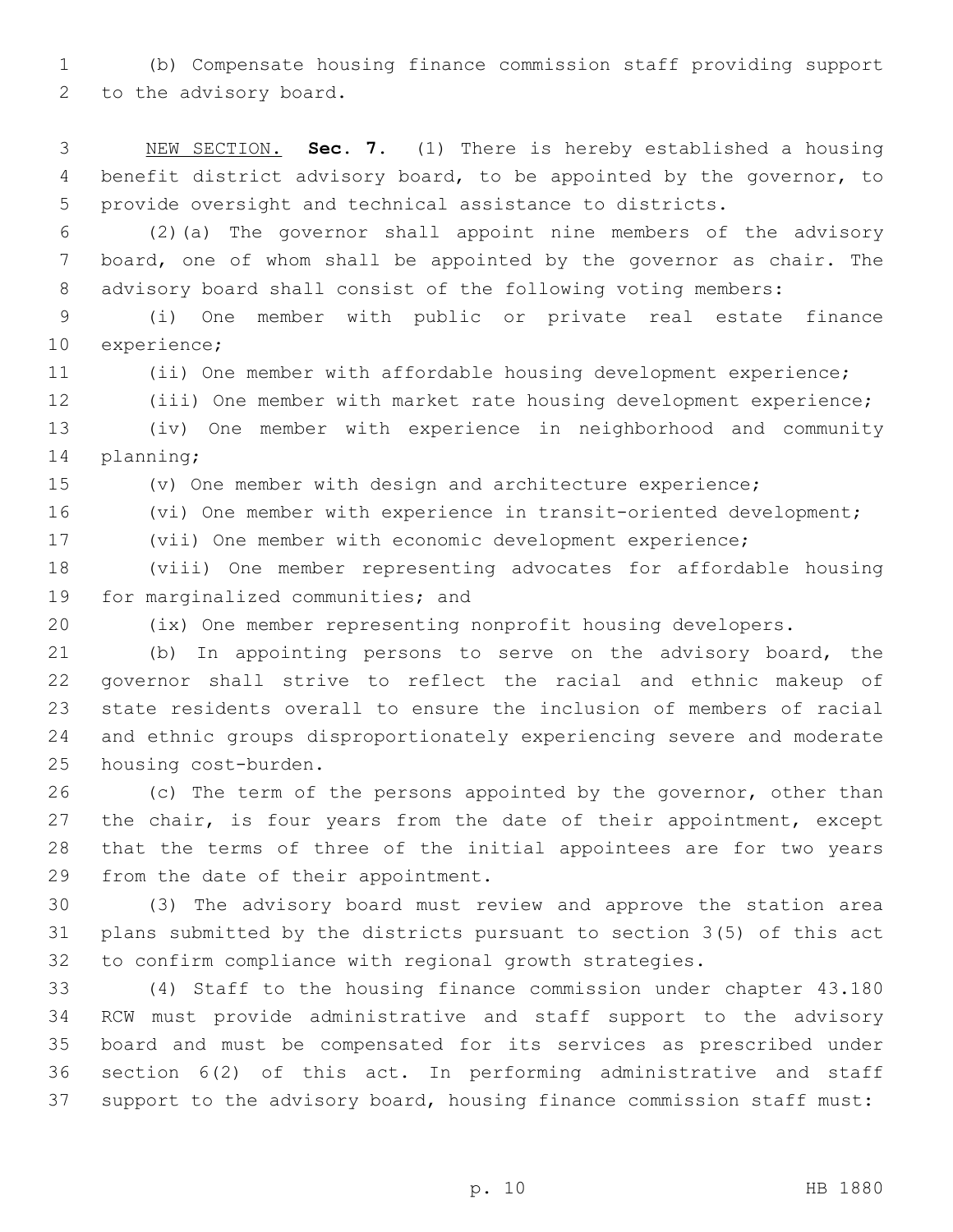(b) Compensate housing finance commission staff providing support 2 to the advisory board.

 NEW SECTION. **Sec. 7.** (1) There is hereby established a housing benefit district advisory board, to be appointed by the governor, to provide oversight and technical assistance to districts.

 (2)(a) The governor shall appoint nine members of the advisory board, one of whom shall be appointed by the governor as chair. The advisory board shall consist of the following voting members:

 (i) One member with public or private real estate finance 10 experience;

(ii) One member with affordable housing development experience;

(iii) One member with market rate housing development experience;

 (iv) One member with experience in neighborhood and community 14 planning;

(v) One member with design and architecture experience;

(vi) One member with experience in transit-oriented development;

(vii) One member with economic development experience;

 (viii) One member representing advocates for affordable housing 19 for marginalized communities; and

(ix) One member representing nonprofit housing developers.

 (b) In appointing persons to serve on the advisory board, the governor shall strive to reflect the racial and ethnic makeup of state residents overall to ensure the inclusion of members of racial and ethnic groups disproportionately experiencing severe and moderate 25 housing cost-burden.

26 (c) The term of the persons appointed by the governor, other than 27 the chair, is four years from the date of their appointment, except that the terms of three of the initial appointees are for two years 29 from the date of their appointment.

 (3) The advisory board must review and approve the station area plans submitted by the districts pursuant to section 3(5) of this act to confirm compliance with regional growth strategies.

 (4) Staff to the housing finance commission under chapter 43.180 RCW must provide administrative and staff support to the advisory board and must be compensated for its services as prescribed under section 6(2) of this act. In performing administrative and staff support to the advisory board, housing finance commission staff must: